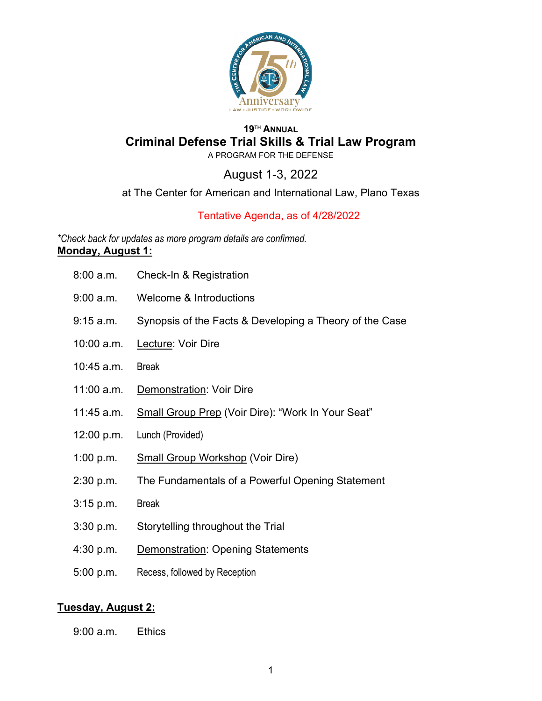

## **19TH ANNUAL Criminal Defense Trial Skills & Trial Law Program**

A PROGRAM FOR THE DEFENSE

August 1-3, 2022

at The Center for American and International Law, Plano Texas

# Tentative Agenda, as of 4/28/2022

*\*Check back for updates as more program details are confirmed.*  **Monday, August 1:** 

- 8:00 a.m. Check-In & Registration
- 9:00 a.m. Welcome & Introductions
- 9:15 a.m. Synopsis of the Facts & Developing a Theory of the Case
- 10:00 a.m. Lecture: Voir Dire
- 10:45 a.m. Break
- 11:00 a.m. Demonstration: Voir Dire
- 11:45 a.m. Small Group Prep (Voir Dire): "Work In Your Seat"
- 12:00 p.m. Lunch (Provided)
- 1:00 p.m. Small Group Workshop (Voir Dire)
- 2:30 p.m. The Fundamentals of a Powerful Opening Statement
- 3:15 p.m. Break
- $3:30$  p.m. Storytelling throughout the Trial
- 4:30 p.m. Demonstration: Opening Statements
- 5:00 p.m. Recess, followed by Reception

### **Tuesday, August 2:**

 $9:00$  a.m. Ethics